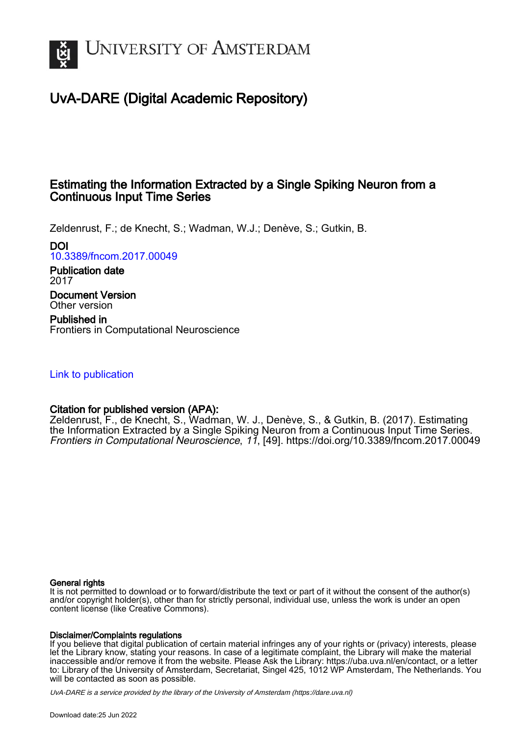

# UvA-DARE (Digital Academic Repository)

### Estimating the Information Extracted by a Single Spiking Neuron from a Continuous Input Time Series

Zeldenrust, F.; de Knecht, S.; Wadman, W.J.; Denève, S.; Gutkin, B.

DOI

[10.3389/fncom.2017.00049](https://doi.org/10.3389/fncom.2017.00049)

Publication date 2017

Document Version Other version

Published in Frontiers in Computational Neuroscience

### [Link to publication](https://dare.uva.nl/personal/pure/en/publications/estimating-the-information-extracted-by-a-single-spiking-neuron-from-a-continuous-input-time-series(f011f405-bc06-49cd-b6db-3daf78d27750).html)

### Citation for published version (APA):

Zeldenrust, F., de Knecht, S., Wadman, W. J., Denève, S., & Gutkin, B. (2017). Estimating the Information Extracted by a Single Spiking Neuron from a Continuous Input Time Series. Frontiers in Computational Neuroscience, 11, [49]. <https://doi.org/10.3389/fncom.2017.00049>

### General rights

It is not permitted to download or to forward/distribute the text or part of it without the consent of the author(s) and/or copyright holder(s), other than for strictly personal, individual use, unless the work is under an open content license (like Creative Commons).

### Disclaimer/Complaints regulations

If you believe that digital publication of certain material infringes any of your rights or (privacy) interests, please let the Library know, stating your reasons. In case of a legitimate complaint, the Library will make the material inaccessible and/or remove it from the website. Please Ask the Library: https://uba.uva.nl/en/contact, or a letter to: Library of the University of Amsterdam, Secretariat, Singel 425, 1012 WP Amsterdam, The Netherlands. You will be contacted as soon as possible.

UvA-DARE is a service provided by the library of the University of Amsterdam (http*s*://dare.uva.nl)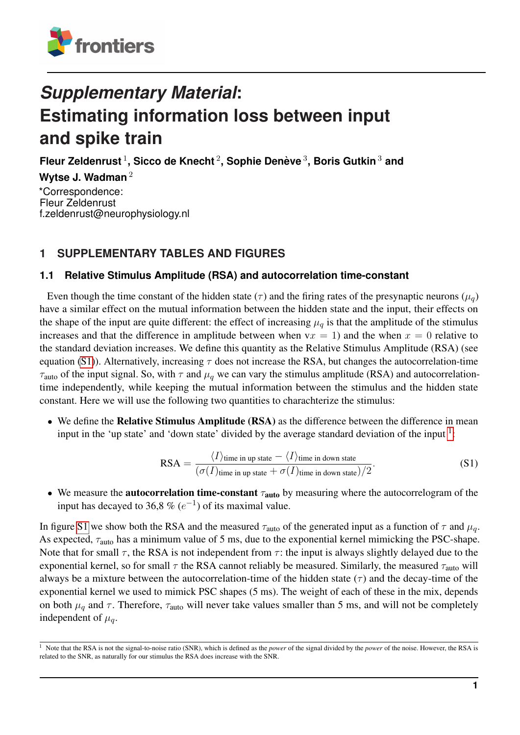

# *Supplementary Material***: Estimating information loss between input and spike train**

**Fleur Zeldenrust** <sup>1</sup> **, Sicco de Knecht** <sup>2</sup> **, Sophie Deneve `** 3 **, Boris Gutkin** <sup>3</sup> **and**

**Wytse J. Wadman** <sup>2</sup>

\*Correspondence: Fleur Zeldenrust f.zeldenrust@neurophysiology.nl

## **1 SUPPLEMENTARY TABLES AND FIGURES**

### **1.1 Relative Stimulus Amplitude (RSA) and autocorrelation time-constant**

Even though the time constant of the hidden state ( $\tau$ ) and the firing rates of the presynaptic neurons ( $\mu_q$ ) have a similar effect on the mutual information between the hidden state and the input, their effects on the shape of the input are quite different: the effect of increasing  $\mu_q$  is that the amplitude of the stimulus increases and that the difference in amplitude between when  $vx = 1$ ) and the when  $x = 0$  relative to the standard deviation increases. We define this quantity as the Relative Stimulus Amplitude (RSA) (see equation [\(S1\)](#page-1-0)). Alternatively, increasing  $\tau$  does not increase the RSA, but changes the autocorrelation-time  $\tau_{\text{auto}}$  of the input signal. So, with  $\tau$  and  $\mu_q$  we can vary the stimulus amplitude (RSA) and autocorrelationtime independently, while keeping the mutual information between the stimulus and the hidden state constant. Here we will use the following two quantities to charachterize the stimulus:

• We define the Relative Stimulus Amplitude (RSA) as the difference between the difference in mean input in the 'up state' and 'down state' divided by the average standard deviation of the input  $\frac{1}{1}$ :

<span id="page-1-0"></span>
$$
RSA = \frac{\langle I \rangle_{\text{time in up state}} - \langle I \rangle_{\text{time in down state}}}{(\sigma(I)_{\text{time in up state}} + \sigma(I)_{\text{time in down state}})/2}.
$$
\n
$$
(S1)
$$

• We measure the **autocorrelation time-constant**  $\tau_{\text{auto}}$  by measuring where the autocorrelogram of the input has decayed to 36,8 %  $(e^{-1})$  of its maximal value.

In figure [S1](#page-2-0) we show both the RSA and the measured  $\tau_{\text{auto}}$  of the generated input as a function of  $\tau$  and  $\mu_q$ . As expected,  $\tau_{\text{auto}}$  has a minimum value of 5 ms, due to the exponential kernel mimicking the PSC-shape. Note that for small  $\tau$ , the RSA is not independent from  $\tau$ : the input is always slightly delayed due to the exponential kernel, so for small  $\tau$  the RSA cannot reliably be measured. Similarly, the measured  $\tau_{\text{auto}}$  will always be a mixture between the autocorrelation-time of the hidden state  $(\tau)$  and the decay-time of the exponential kernel we used to mimick PSC shapes (5 ms). The weight of each of these in the mix, depends on both  $\mu_q$  and  $\tau$ . Therefore,  $\tau_{\text{auto}}$  will never take values smaller than 5 ms, and will not be completely independent of  $\mu_a$ .

<sup>1</sup> Note that the RSA is not the signal-to-noise ratio (SNR), which is defined as the *power* of the signal divided by the *power* of the noise. However, the RSA is related to the SNR, as naturally for our stimulus the RSA does increase with the SNR.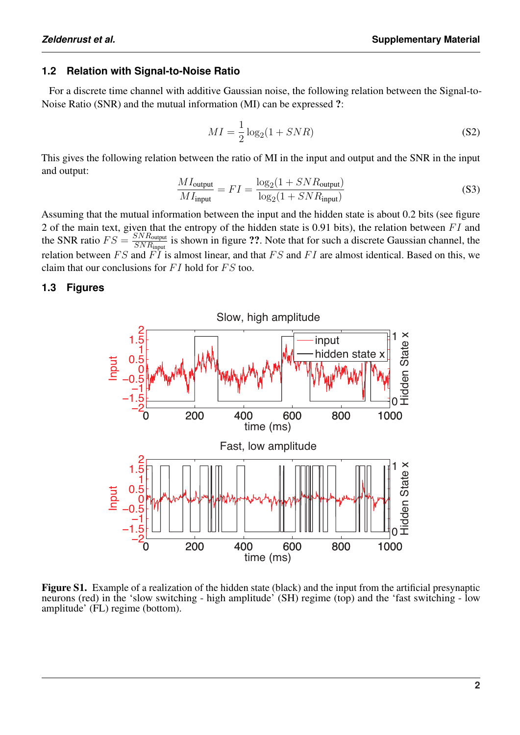### **1.2 Relation with Signal-to-Noise Ratio**

For a discrete time channel with additive Gaussian noise, the following relation between the Signal-to-Noise Ratio (SNR) and the mutual information (MI) can be expressed ?:

$$
MI = \frac{1}{2}\log_2(1 + SNR)
$$
\n<sup>(S2)</sup>

This gives the following relation between the ratio of MI in the input and output and the SNR in the input and output:

$$
\frac{MI_{\text{output}}}{MI_{\text{input}}} = FI = \frac{\log_2(1 + SNR_{\text{output}})}{\log_2(1 + SNR_{\text{input}})}
$$
(S3)

Assuming that the mutual information between the input and the hidden state is about 0.2 bits (see figure 2 of the main text, given that the entropy of the hidden state is 0.91 bits), the relation between  $FI$  and the SNR ratio  $FS = \frac{SNR_{\text{output}}}{SNR_{\text{input}}}$  $\frac{SN \text{ Routput}}{SN R_{\text{input}}}$  is shown in figure ??. Note that for such a discrete Gaussian channel, the relation between  $FS$  and  $\overline{FI}$  is almost linear, and that  $FS$  and  $FI$  are almost identical. Based on this, we claim that our conclusions for  $FI$  hold for  $FS$  too.

### <span id="page-2-0"></span>**1.3 Figures**



Figure S1. Example of a realization of the hidden state (black) and the input from the artificial presynaptic neurons (red) in the 'slow switching - high amplitude' (SH) regime (top) and the 'fast switching - low amplitude' (FL) regime (bottom).